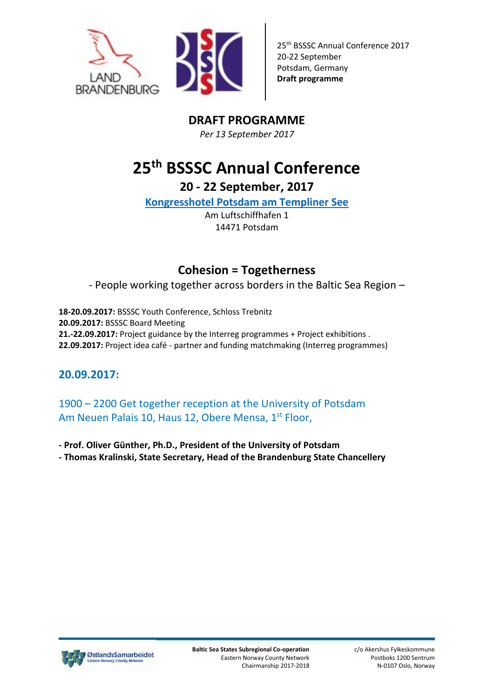



# **DRAFT PROGRAMME**

*Per 13 September 2017*

# **25th BSSSC Annual Conference**

**20 - 22 September, 2017**

**[Kongresshotel Potsdam am Templiner See](https://www.kongresshotel-potsdam.de/hotel/)**

Am Luftschiffhafen 1 14471 Potsdam

# **Cohesion = Togetherness**

- People working together across borders in the Baltic Sea Region –

**18-20.09.2017:** BSSSC Youth Conference, Schloss Trebnitz **20.09.2017:** BSSSC Board Meeting **21.-22.09.2017:** Project guidance by the Interreg programmes + Project exhibitions . **22.09.2017:** Project idea café - partner and funding matchmaking (Interreg programmes)

## **20.09.2017:**

1900 – 2200 Get together reception at the University of Potsdam Am Neuen Palais 10, Haus 12, Obere Mensa, 1st Floor,

**- Prof. Oliver Günther, Ph.D., President of the University of Potsdam** 

**- Thomas Kralinski, State Secretary, Head of the Brandenburg State Chancellery**

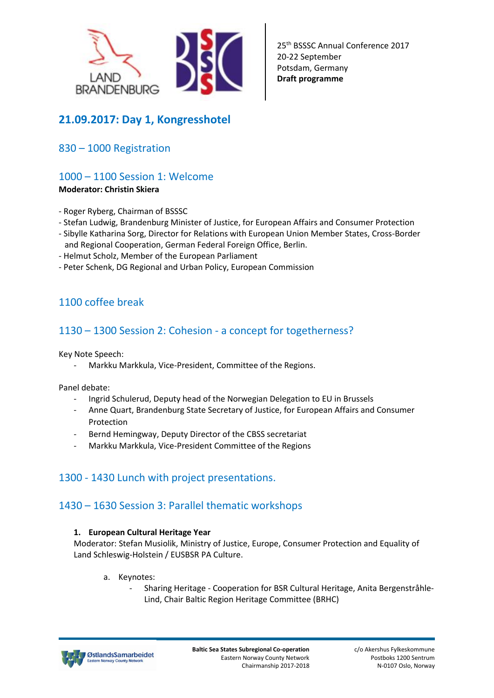

# **21.09.2017: Day 1, Kongresshotel**

### 830 – 1000 Registration

### 1000 – 1100 Session 1: Welcome

#### **Moderator: Christin Skiera**

- Roger Ryberg, Chairman of BSSSC
- Stefan Ludwig, Brandenburg Minister of Justice, for European Affairs and Consumer Protection
- Sibylle Katharina Sorg, Director for Relations with European Union Member States, Cross-Border and Regional Cooperation, German Federal Foreign Office, Berlin.
- Helmut Scholz, Member of the European Parliament
- Peter Schenk, DG Regional and Urban Policy, European Commission

### 1100 coffee break

### 1130 – 1300 Session 2: Cohesion - a concept for togetherness?

Key Note Speech:

Markku Markkula, Vice-President, Committee of the Regions.

Panel debate:

- Ingrid Schulerud, Deputy head of the Norwegian Delegation to EU in Brussels
- Anne Quart, Brandenburg State Secretary of Justice, for European Affairs and Consumer Protection
- Bernd Hemingway, Deputy Director of the CBSS secretariat
- Markku Markkula, Vice-President Committee of the Regions

### 1300 - 1430 Lunch with project presentations.

### 1430 – 1630 Session 3: Parallel thematic workshops

#### **1. European Cultural Heritage Year**

Moderator: Stefan Musiolik, Ministry of Justice, Europe, Consumer Protection and Equality of Land Schleswig-Holstein / EUSBSR PA Culture.

- a. Keynotes:
	- Sharing Heritage Cooperation for BSR Cultural Heritage, Anita Bergenstråhle-Lind, Chair Baltic Region Heritage Committee (BRHC)

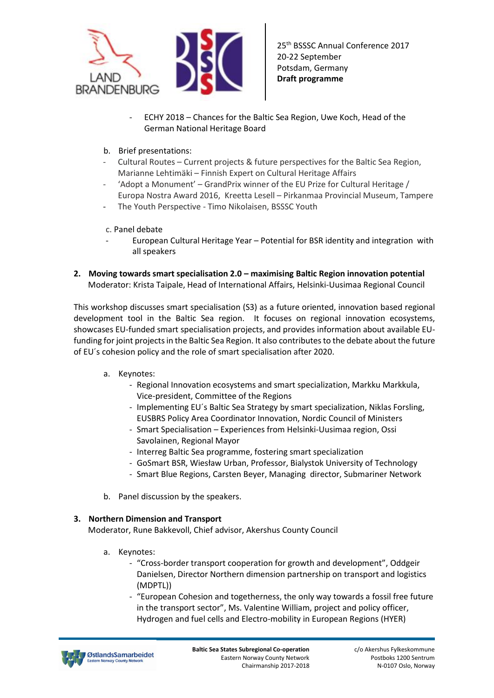

- ECHY 2018 Chances for the Baltic Sea Region, Uwe Koch, Head of the German National Heritage Board
- b. Brief presentations:
- Cultural Routes Current projects & future perspectives for the Baltic Sea Region, Marianne Lehtimäki – Finnish Expert on Cultural Heritage Affairs
- 'Adopt a Monument' GrandPrix winner of the EU Prize for Cultural Heritage / Europa Nostra Award 2016, Kreetta Lesell – Pirkanmaa Provincial Museum, Tampere
- The Youth Perspective Timo Nikolaisen, BSSSC Youth
- c. Panel debate
- European Cultural Heritage Year Potential for BSR identity and integration with all speakers
- **2. Moving towards smart specialisation 2.0 – maximising Baltic Region innovation potential**  Moderator: Krista Taipale, Head of International Affairs, Helsinki-Uusimaa Regional Council

This workshop discusses smart specialisation (S3) as a future oriented, innovation based regional development tool in the Baltic Sea region. It focuses on regional innovation ecosystems, showcases EU-funded smart specialisation projects, and provides information about available EUfunding for joint projects in the Baltic Sea Region. It also contributes to the debate about the future of EU´s cohesion policy and the role of smart specialisation after 2020.

- a. Keynotes:
	- Regional Innovation ecosystems and smart specialization, Markku Markkula, Vice-president, Committee of the Regions
	- Implementing EU´s Baltic Sea Strategy by smart specialization, Niklas Forsling, EUSBRS Policy Area Coordinator Innovation, Nordic Council of Ministers
	- Smart Specialisation Experiences from Helsinki-Uusimaa region, Ossi Savolainen, Regional Mayor
	- Interreg Baltic Sea programme, fostering smart specialization
	- GoSmart BSR, Wiesław Urban, Professor, Bialystok University of Technology
	- Smart Blue Regions, Carsten Beyer, Managing director, Submariner Network
- b. Panel discussion by the speakers.

#### **3. Northern Dimension and Transport**

Moderator, Rune Bakkevoll, Chief advisor, Akershus County Council

- a. Keynotes:
	- "Cross-border transport cooperation for growth and development", Oddgeir Danielsen, Director Northern dimension partnership on transport and logistics (MDPTL))
	- "European Cohesion and togetherness, the only way towards a fossil free future in the transport sector", Ms. Valentine William, project and policy officer, Hydrogen and fuel cells and Electro-mobility in European Regions (HYER)

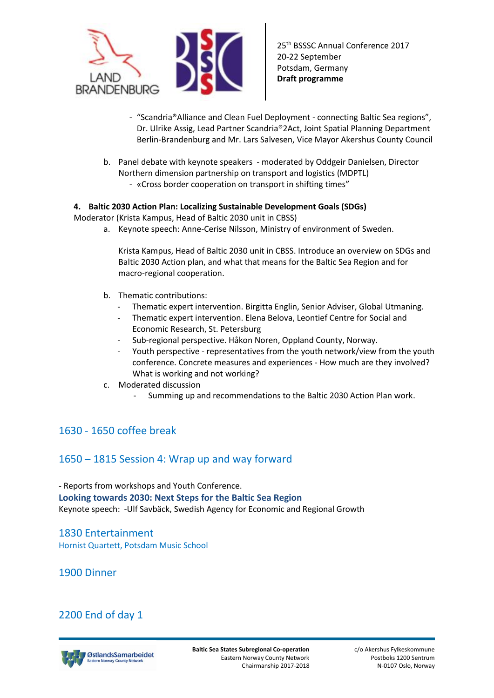

- "Scandria®Alliance and Clean Fuel Deployment connecting Baltic Sea regions", Dr. Ulrike Assig, Lead Partner Scandria®2Act, Joint Spatial Planning Department Berlin-Brandenburg and Mr. Lars Salvesen, Vice Mayor Akershus County Council
- b. Panel debate with keynote speakers moderated by Oddgeir Danielsen, Director Northern dimension partnership on transport and logistics (MDPTL)
	- «Cross border cooperation on transport in shifting times"

#### **4. Baltic 2030 Action Plan: Localizing Sustainable Development Goals (SDGs)**

Moderator (Krista Kampus, Head of Baltic 2030 unit in CBSS)

a. Keynote speech: Anne-Cerise Nilsson, Ministry of environment of Sweden.

Krista Kampus, Head of Baltic 2030 unit in CBSS. Introduce an overview on SDGs and Baltic 2030 Action plan, and what that means for the Baltic Sea Region and for macro-regional cooperation.

- b. Thematic contributions:
	- Thematic expert intervention. Birgitta Englin, Senior Adviser, Global Utmaning.
	- Thematic expert intervention. Elena Belova, Leontief Centre for Social and [Economic Research,](http://www.leontief-centre.ru/?lang=l2) St. Petersburg
	- Sub-regional perspective. Håkon Noren, Oppland County, Norway.
	- Youth perspective representatives from the youth network/view from the youth conference. Concrete measures and experiences - How much are they involved? What is working and not working?
- c. Moderated discussion
	- Summing up and recommendations to the Baltic 2030 Action Plan work.

### 1630 - 1650 coffee break

### 1650 – 1815 Session 4: Wrap up and way forward

- Reports from workshops and Youth Conference. **Looking towards 2030: Next Steps for the Baltic Sea Region**  Keynote speech: -Ulf Savbäck, Swedish Agency for Economic and Regional Growth

1830 Entertainment Hornist Quartett, Potsdam Music School

1900 Dinner

### 2200 End of day 1